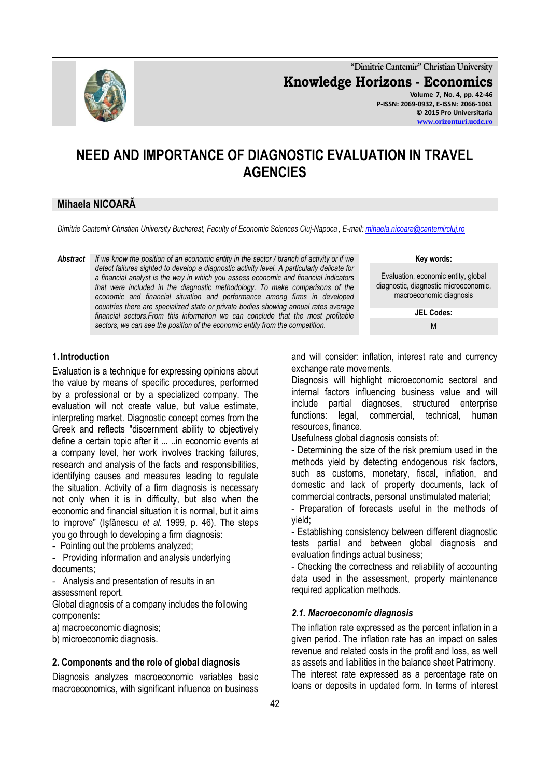**"Dimitrie Cantemir" Christian University Knowledge Horizons - Economics Volume 7, No. 4, pp. 42-46 P-ISSN: 2069-0932, E-ISSN: 2066-1061 © 2015 Pro Universitaria**

#### **[www.orizonturi.ucdc.ro](http://www.orizonturi.ucdc.ro/)**

# **NEED AND IMPORTANCE OF DIAGNOSTIC EVALUATION IN TRAVEL AGENCIES**

# **Mihaela NICOARĂ**

*Dimitrie Cantemir Christian University Bucharest, Faculty of Economic Sciences Cluj-Napoca , E-mail[: mihaela.nicoara@cantemircluj.ro](mailto:mihaela.nicoara@cantemircluj.ro)*

*Abstract If we know the position of an economic entity in the sector / branch of activity or if we detect failures sighted to develop a diagnostic activity level. A particularly delicate for a financial analyst is the way in which you assess economic and financial indicators that were included in the diagnostic methodology. To make comparisons of the economic and financial situation and performance among firms in developed countries there are specialized state or private bodies showing annual rates average financial sectors.From this information we can conclude that the most profitable sectors, we can see the position of the economic entity from the competition.*

M

**Key words:** Evaluation, economic entity, global diagnostic, diagnostic microeconomic, macroeconomic diagnosis **JEL Codes:**

#### **1. Introduction**

Evaluation is a technique for expressing opinions about the value by means of specific procedures, performed by a professional or by a specialized company. The evaluation will not create value, but value estimate, interpreting market. Diagnostic concept comes from the Greek and reflects "discernment ability to objectively define a certain topic after it ... ..in economic events at a company level, her work involves tracking failures, research and analysis of the facts and responsibilities, identifying causes and measures leading to regulate the situation. Activity of a firm diagnosis is necessary not only when it is in difficulty, but also when the economic and financial situation it is normal, but it aims to improve" (Işfănescu *et al.* 1999, p. 46). The steps you go through to developing a firm diagnosis:

- Pointing out the problems analyzed;

- Providing information and analysis underlying documents;

- Analysis and presentation of results in an

assessment report.

Global diagnosis of a company includes the following components:

a) macroeconomic diagnosis;

b) microeconomic diagnosis.

#### **2. Components and the role of global diagnosis**

Diagnosis analyzes macroeconomic variables basic macroeconomics, with significant influence on business and will consider: inflation, interest rate and currency exchange rate movements.

Diagnosis will highlight microeconomic sectoral and internal factors influencing business value and will include partial diagnoses, structured enterprise functions: legal, commercial, technical, human resources, finance.

Usefulness global diagnosis consists of:

- Determining the size of the risk premium used in the methods yield by detecting endogenous risk factors, such as customs, monetary, fiscal, inflation, and domestic and lack of property documents, lack of commercial contracts, personal unstimulated material;

- Preparation of forecasts useful in the methods of yield;

- Establishing consistency between different diagnostic tests partial and between global diagnosis and evaluation findings actual business;

- Checking the correctness and reliability of accounting data used in the assessment, property maintenance required application methods.

#### *2.1. Macroeconomic diagnosis*

The inflation rate expressed as the percent inflation in a given period. The inflation rate has an impact on sales revenue and related costs in the profit and loss, as well as assets and liabilities in the balance sheet Patrimony. The interest rate expressed as a percentage rate on loans or deposits in updated form. In terms of interest

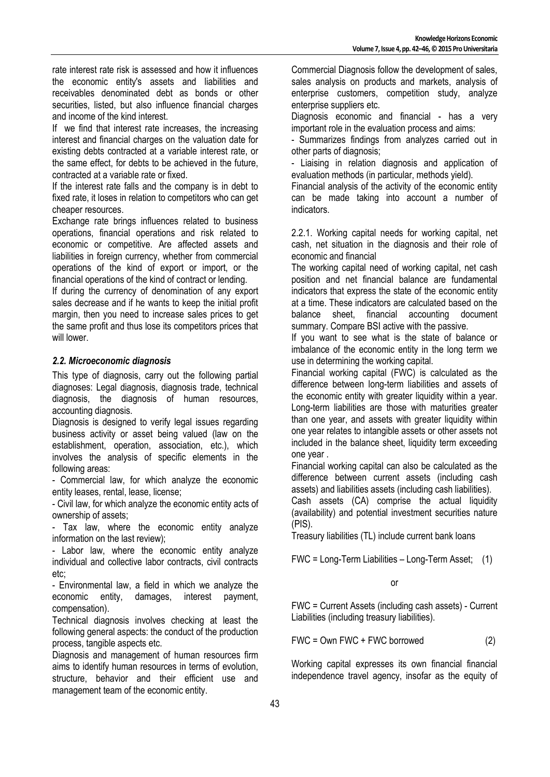rate interest rate risk is assessed and how it influences the economic entity's assets and liabilities and receivables denominated debt as bonds or other securities, listed, but also influence financial charges and income of the kind interest.

If we find that interest rate increases, the increasing interest and financial charges on the valuation date for existing debts contracted at a variable interest rate, or the same effect, for debts to be achieved in the future, contracted at a variable rate or fixed.

If the interest rate falls and the company is in debt to fixed rate, it loses in relation to competitors who can get cheaper resources.

Exchange rate brings influences related to business operations, financial operations and risk related to economic or competitive. Are affected assets and liabilities in foreign currency, whether from commercial operations of the kind of export or import, or the financial operations of the kind of contract or lending.

If during the currency of denomination of any export sales decrease and if he wants to keep the initial profit margin, then you need to increase sales prices to get the same profit and thus lose its competitors prices that will lower.

# *2.2. Microeconomic diagnosis*

This type of diagnosis, carry out the following partial diagnoses: Legal diagnosis, diagnosis trade, technical diagnosis, the diagnosis of human resources, accounting diagnosis.

Diagnosis is designed to verify legal issues regarding business activity or asset being valued (law on the establishment, operation, association, etc.), which involves the analysis of specific elements in the following areas:

- Commercial law, for which analyze the economic entity leases, rental, lease, license;

- Civil law, for which analyze the economic entity acts of ownership of assets;

- Tax law, where the economic entity analyze information on the last review);

- Labor law, where the economic entity analyze individual and collective labor contracts, civil contracts etc;

- Environmental law, a field in which we analyze the economic entity, damages, interest payment, compensation).

Technical diagnosis involves checking at least the following general aspects: the conduct of the production process, tangible aspects etc.

Diagnosis and management of human resources firm aims to identify human resources in terms of evolution, structure, behavior and their efficient use and management team of the economic entity.

Commercial Diagnosis follow the development of sales, sales analysis on products and markets, analysis of enterprise customers, competition study, analyze enterprise suppliers etc.

Diagnosis economic and financial - has a very important role in the evaluation process and aims:

- Summarizes findings from analyzes carried out in other parts of diagnosis;

- Liaising in relation diagnosis and application of evaluation methods (in particular, methods yield).

Financial analysis of the activity of the economic entity can be made taking into account a number of indicators.

2.2.1. Working capital needs for working capital, net cash, net situation in the diagnosis and their role of economic and financial

The working capital need of working capital, net cash position and net financial balance are fundamental indicators that express the state of the economic entity at a time. These indicators are calculated based on the balance sheet, financial accounting document summary. Compare BSI active with the passive.

If you want to see what is the state of balance or imbalance of the economic entity in the long term we use in determining the working capital.

Financial working capital (FWC) is calculated as the difference between long-term liabilities and assets of the economic entity with greater liquidity within a year. Long-term liabilities are those with maturities greater than one year, and assets with greater liquidity within one year relates to intangible assets or other assets not included in the balance sheet, liquidity term exceeding one year .

Financial working capital can also be calculated as the difference between current assets (including cash assets) and liabilities assets (including cash liabilities).

Cash assets (CA) comprise the actual liquidity (availability) and potential investment securities nature (PIS).

Treasury liabilities (TL) include current bank loans

FWC = Long-Term Liabilities – Long-Term Asset; (1)

or

FWC = Current Assets (including cash assets) - Current Liabilities (including treasury liabilities).

FWC = Own FWC + FWC borrowed (2)

Working capital expresses its own financial financial independence travel agency, insofar as the equity of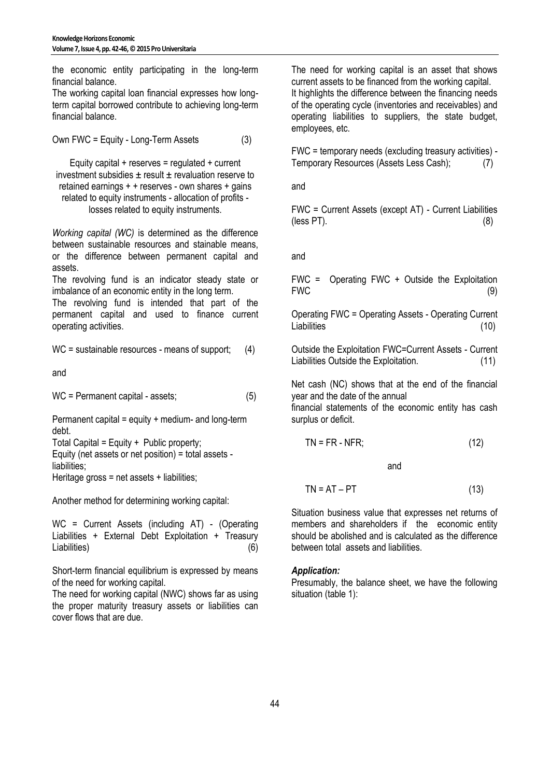the economic entity participating in the long-term financial balance.

The working capital loan financial expresses how longterm capital borrowed contribute to achieving long-term financial balance.

Own FWC = Equity - Long-Term Assets (3)

Equity capital  $+$  reserves = regulated  $+$  current investment subsidies  $\pm$  result  $\pm$  revaluation reserve to retained earnings + + reserves - own shares + gains related to equity instruments - allocation of profits losses related to equity instruments.

*Working capital (WC)* is determined as the difference between sustainable resources and stainable means, or the difference between permanent capital and assets.

The revolving fund is an indicator steady state or imbalance of an economic entity in the long term.

The revolving fund is intended that part of the permanent capital and used to finance current operating activities.

WC = sustainable resources - means of support; (4)

and

WC = Permanent capital - assets; (5)

Permanent capital = equity + medium- and long-term debt.

Total Capital = Equity + Public property; Equity (net assets or net position) = total assets liabilities:

Heritage gross = net assets + liabilities;

Another method for determining working capital:

WC = Current Assets (including AT) - (Operating Liabilities + External Debt Exploitation + Treasury Liabilities) (6)

Short-term financial equilibrium is expressed by means of the need for working capital.

The need for working capital (NWC) shows far as using the proper maturity treasury assets or liabilities can cover flows that are due.

The need for working capital is an asset that shows current assets to be financed from the working capital. It highlights the difference between the financing needs of the operating cycle (inventories and receivables) and operating liabilities to suppliers, the state budget, employees, etc.

FWC = temporary needs (excluding treasury activities) - Temporary Resources (Assets Less Cash); (7)

and

FWC = Current Assets (except AT) - Current Liabilities  $(\text{less PT})$ . (8)

and

FWC = Operating FWC + Outside the Exploitation FWC (9)

Operating FWC = Operating Assets - Operating Current Liabilities (10)

Outside the Exploitation FWC=Current Assets - Current Liabilities Outside the Exploitation. (11)

Net cash (NC) shows that at the end of the financial year and the date of the annual financial statements of the economic entity has cash surplus or deficit.

$$
TN = FR - NFR; \tag{12}
$$

and

$$
TN = AT - PT
$$
 (13)

Situation business value that expresses net returns of members and shareholders if the economic entity should be abolished and is calculated as the difference between total assets and liabilities.

# *Application:*

Presumably, the balance sheet, we have the following situation (table 1):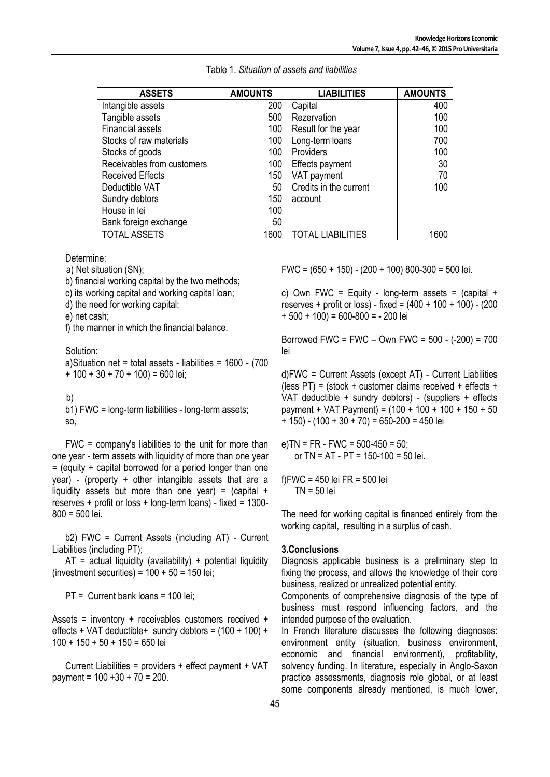| <b>ASSETS</b>              | <b>AMOUNTS</b> | <b>LIABILITIES</b>       | <b>AMOUNTS</b> |
|----------------------------|----------------|--------------------------|----------------|
| Intangible assets          | 200            | Capital                  | 400            |
| Tangible assets            | 500            | Rezervation              | 100            |
| <b>Financial assets</b>    | 100            | Result for the year      | 100            |
| Stocks of raw materials    | 100            | Long-term loans          | 700            |
| Stocks of goods            | 100            | Providers                | 100            |
| Receivables from customers | 100            | Effects payment          | 30             |
| <b>Received Effects</b>    | 150            | VAT payment              | 70             |
| Deductible VAT             | 50             | Credits in the current   | 100            |
| Sundry debtors             | 150            | account                  |                |
| House in lei               | 100            |                          |                |
| Bank foreign exchange      | 50             |                          |                |
| <b>TOTAL ASSETS</b>        | 1600           | <b>TOTAL LIABILITIES</b> | 1600           |

Table 1. *Situation of assets and liabilities*

Determine:

a) Net situation (SN);

b) financial working capital by the two methods;

c) its working capital and working capital loan;

d) the need for working capital;

e) net cash;

f) the manner in which the financial balance.

Solution:

a)Situation net = total assets - liabilities = 1600 - (700  $+ 100 + 30 + 70 + 100 = 600$  lei;

b)

b1) FWC = long-term liabilities - long-term assets; so,

FWC = company's liabilities to the unit for more than one year - term assets with liquidity of more than one year  $=$  (equity  $+$  capital borrowed for a period longer than one year) - (property + other intangible assets that are a liquidity assets but more than one year) =  $\alpha$  (capital + reserves + profit or loss + long-term loans) - fixed =  $1300-$ 800 = 500 lei.

b2) FWC = Current Assets (including AT) - Current Liabilities (including PT);

 $AT = actual$  liquidity (availability) + potential liquidity (investment securities) =  $100 + 50 = 150$  lei;

PT = Current bank loans = 100 lei;

Assets = inventory + receivables customers received + effects + VAT deductible + sundry debtors =  $(100 + 100) +$  $100 + 150 + 50 + 150 = 650$  lei

Current Liabilities = providers + effect payment + VAT payment = 100 +30 + 70 = 200.

FWC = (650 + 150) - (200 + 100) 800-300 = 500 lei.

c) Own FWC = Equity - long-term assets =  $(capital +$ reserves + profit or loss) - fixed = (400 + 100 + 100) - (200  $+ 500 + 100$  = 600-800 = -200 lei

Borrowed FWC = FWC – Own FWC = 500 - (-200) = 700 lei

d)FWC = Current Assets (except AT) - Current Liabilities (less  $PT$ ) = (stock + customer claims received + effects + VAT deductible + sundry debtors) - (suppliers + effects payment + VAT Payment) = (100 + 100 + 100 + 150 + 50  $+ 150$ ) - (100 + 30 + 70) = 650-200 = 450 lei

e)TN = FR - FWC = 500-450 = 50; or TN =  $AT - PT = 150-100 = 50$  lei.

f)FWC = 450 lei FR = 500 lei  $TN = 50$  lei

The need for working capital is financed entirely from the working capital, resulting in a surplus of cash.

### **3.Conclusions**

Diagnosis applicable business is a preliminary step to fixing the process, and allows the knowledge of their core business, realized or unrealized potential entity.

Components of comprehensive diagnosis of the type of business must respond influencing factors, and the intended purpose of the evaluation.

In French literature discusses the following diagnoses: environment entity (situation, business environment, economic and financial environment), profitability, solvency funding. In literature, especially in Anglo-Saxon practice assessments, diagnosis role global, or at least some components already mentioned, is much lower,